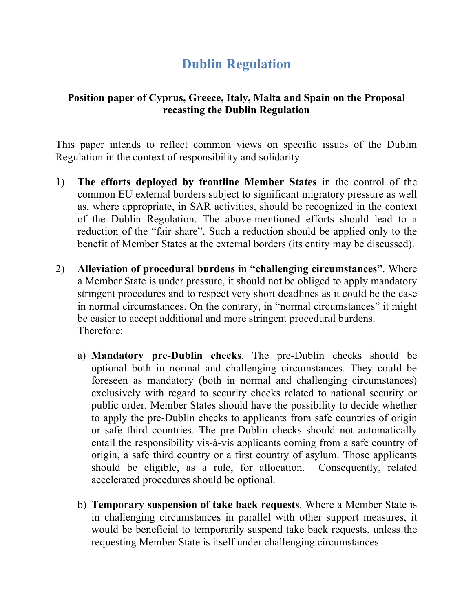## **Dublin Regulation**

## **Position paper of Cyprus, Greece, Italy, Malta and Spain on the Proposal recasting the Dublin Regulation**

This paper intends to reflect common views on specific issues of the Dublin Regulation in the context of responsibility and solidarity.

- 1) **The efforts deployed by frontline Member States** in the control of the common EU external borders subject to significant migratory pressure as well as, where appropriate, in SAR activities, should be recognized in the context of the Dublin Regulation. The above-mentioned efforts should lead to a reduction of the "fair share". Such a reduction should be applied only to the benefit of Member States at the external borders (its entity may be discussed).
- 2) **Alleviation of procedural burdens in "challenging circumstances"**. Where a Member State is under pressure, it should not be obliged to apply mandatory stringent procedures and to respect very short deadlines as it could be the case in normal circumstances. On the contrary, in "normal circumstances" it might be easier to accept additional and more stringent procedural burdens. Therefore:
	- a) **Mandatory pre-Dublin checks**. The pre-Dublin checks should be optional both in normal and challenging circumstances. They could be foreseen as mandatory (both in normal and challenging circumstances) exclusively with regard to security checks related to national security or public order. Member States should have the possibility to decide whether to apply the pre-Dublin checks to applicants from safe countries of origin or safe third countries. The pre-Dublin checks should not automatically entail the responsibility vis-à-vis applicants coming from a safe country of origin, a safe third country or a first country of asylum. Those applicants should be eligible, as a rule, for allocation. Consequently, related accelerated procedures should be optional.
	- b) **Temporary suspension of take back requests**. Where a Member State is in challenging circumstances in parallel with other support measures, it would be beneficial to temporarily suspend take back requests, unless the requesting Member State is itself under challenging circumstances.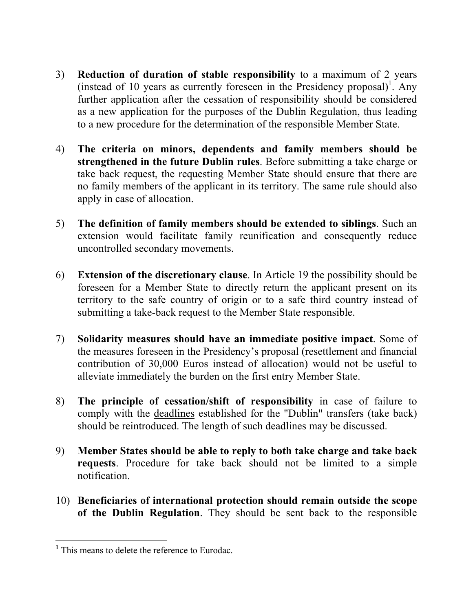- 3) **Reduction of duration of stable responsibility** to a maximum of 2 years (instead of 10 years as currently foreseen in the Presidency proposal)<sup>1</sup>. Any further application after the cessation of responsibility should be considered as a new application for the purposes of the Dublin Regulation, thus leading to a new procedure for the determination of the responsible Member State.
- 4) **The criteria on minors, dependents and family members should be strengthened in the future Dublin rules**. Before submitting a take charge or take back request, the requesting Member State should ensure that there are no family members of the applicant in its territory. The same rule should also apply in case of allocation.
- 5) **The definition of family members should be extended to siblings**. Such an extension would facilitate family reunification and consequently reduce uncontrolled secondary movements.
- 6) **Extension of the discretionary clause**. In Article 19 the possibility should be foreseen for a Member State to directly return the applicant present on its territory to the safe country of origin or to a safe third country instead of submitting a take-back request to the Member State responsible.
- 7) **Solidarity measures should have an immediate positive impact**. Some of the measures foreseen in the Presidency's proposal (resettlement and financial contribution of 30,000 Euros instead of allocation) would not be useful to alleviate immediately the burden on the first entry Member State.
- 8) **The principle of cessation/shift of responsibility** in case of failure to comply with the deadlines established for the "Dublin" transfers (take back) should be reintroduced. The length of such deadlines may be discussed.
- 9) **Member States should be able to reply to both take charge and take back requests**. Procedure for take back should not be limited to a simple notification.
- 10) **Beneficiaries of international protection should remain outside the scope of the Dublin Regulation**. They should be sent back to the responsible

 **<sup>1</sup>** This means to delete the reference to Eurodac.